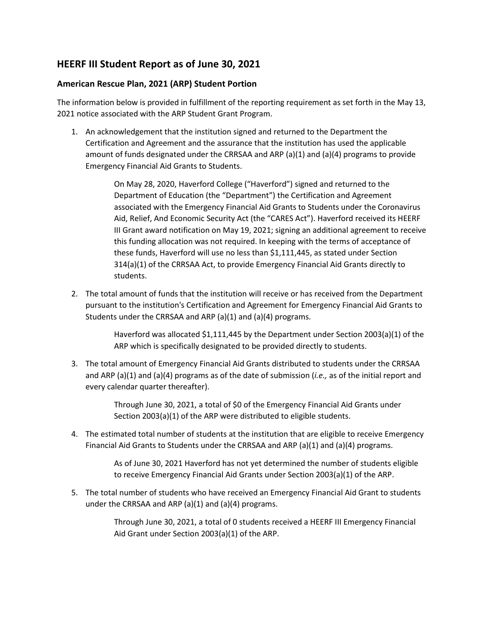## **HEERF III Student Report as of June 30, 2021**

## **American Rescue Plan, 2021 (ARP) Student Portion**

The information below is provided in fulfillment of the reporting requirement as set forth in the May 13, 2021 notice associated with the ARP Student Grant Program.

1. An acknowledgement that the institution signed and returned to the Department the Certification and Agreement and the assurance that the institution has used the applicable amount of funds designated under the CRRSAA and ARP (a)(1) and (a)(4) programs to provide Emergency Financial Aid Grants to Students.

> On May 28, 2020, Haverford College ("Haverford") signed and returned to the Department of Education (the "Department") the Certification and Agreement associated with the Emergency Financial Aid Grants to Students under the Coronavirus Aid, Relief, And Economic Security Act (the "CARES Act"). Haverford received its HEERF III Grant award notification on May 19, 2021; signing an additional agreement to receive this funding allocation was not required. In keeping with the terms of acceptance of these funds, Haverford will use no less than \$1,111,445, as stated under Section 314(a)(1) of the CRRSAA Act, to provide Emergency Financial Aid Grants directly to students.

2. The total amount of funds that the institution will receive or has received from the Department pursuant to the institution's Certification and Agreement for Emergency Financial Aid Grants to Students under the CRRSAA and ARP  $(a)(1)$  and  $(a)(4)$  programs.

> Haverford was allocated \$1,111,445 by the Department under Section 2003(a)(1) of the ARP which is specifically designated to be provided directly to students.

3. The total amount of Emergency Financial Aid Grants distributed to students under the CRRSAA and ARP (a)(1) and (a)(4) programs as of the date of submission (*i.e.,* as of the initial report and every calendar quarter thereafter).

> Through June 30, 2021, a total of \$0 of the Emergency Financial Aid Grants under Section 2003(a)(1) of the ARP were distributed to eligible students.

4. The estimated total number of students at the institution that are eligible to receive Emergency Financial Aid Grants to Students under the CRRSAA and ARP (a)(1) and (a)(4) programs.

> As of June 30, 2021 Haverford has not yet determined the number of students eligible to receive Emergency Financial Aid Grants under Section 2003(a)(1) of the ARP.

5. The total number of students who have received an Emergency Financial Aid Grant to students under the CRRSAA and ARP (a)(1) and (a)(4) programs.

> Through June 30, 2021, a total of 0 students received a HEERF III Emergency Financial Aid Grant under Section 2003(a)(1) of the ARP.